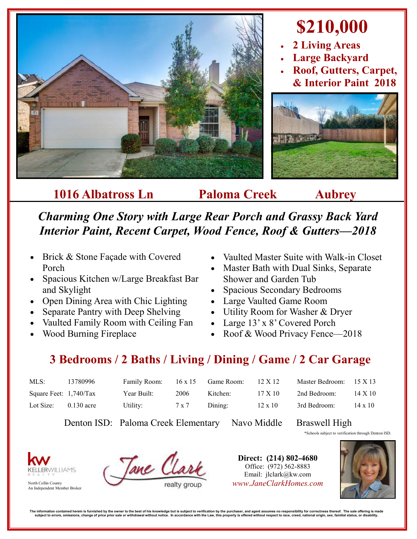

## **1016 Albatross Ln Paloma Creek Aubrey**

*Charming One Story with Large Rear Porch and Grassy Back Yard Interior Paint, Recent Carpet, Wood Fence, Roof & Gutters—2018*

- Brick & Stone Façade with Covered Porch
- Spacious Kitchen w/Large Breakfast Bar and Skylight
- Open Dining Area with Chic Lighting
- Separate Pantry with Deep Shelving
- Vaulted Family Room with Ceiling Fan
- Wood Burning Fireplace
- Vaulted Master Suite with Walk-in Closet
- Master Bath with Dual Sinks, Separate Shower and Garden Tub
- Spacious Secondary Bedrooms
- Large Vaulted Game Room
- Utility Room for Washer & Dryer
- Large 13' x 8' Covered Porch
- Roof & Wood Privacy Fence-2018

## **3 Bedrooms / 2 Baths / Living / Dining / Game / 2 Car Garage**

| MLS:                     | 13780996     | Family Room: | $16 \times 15$ | Game Room: | 12 X 12        | Master Bedroom: $15 \times 13$ |                |
|--------------------------|--------------|--------------|----------------|------------|----------------|--------------------------------|----------------|
| Square Feet: $1,740/Tax$ |              | Year Built:  | 2006           | Kitchen:   | $17 \times 10$ | 2nd Bedroom:                   | 14 X 10        |
| Lot Size:                | $0.130$ acre | Utility:     | 7 x 7          | Dining:    | $12 \times 10$ | 3rd Bedroom:                   | $14 \times 10$ |

Denton ISD: Paloma Creek Elementary Navo Middle Braswell High

\*Schools subject to verification through Denton ISD.



![](_page_0_Picture_23.jpeg)

**Direct: (214) 802-4680** Office: (972) 562-8883 Email: jlclark@kw.com North Collin County *www.JaneClarkHomes.com*

![](_page_0_Picture_26.jpeg)

The information contained herein is furnished by the owner to the best of his knowledge but is subject to verification by the purchaser, and agent assumes no responsibility for correctness thereof. The sale offering is mad substances on a matrix of the set of the set of the set of the state of the set of the set of the Law, this property is offered without respect to race, creed, national origin, sex, familial status, or disability in the st